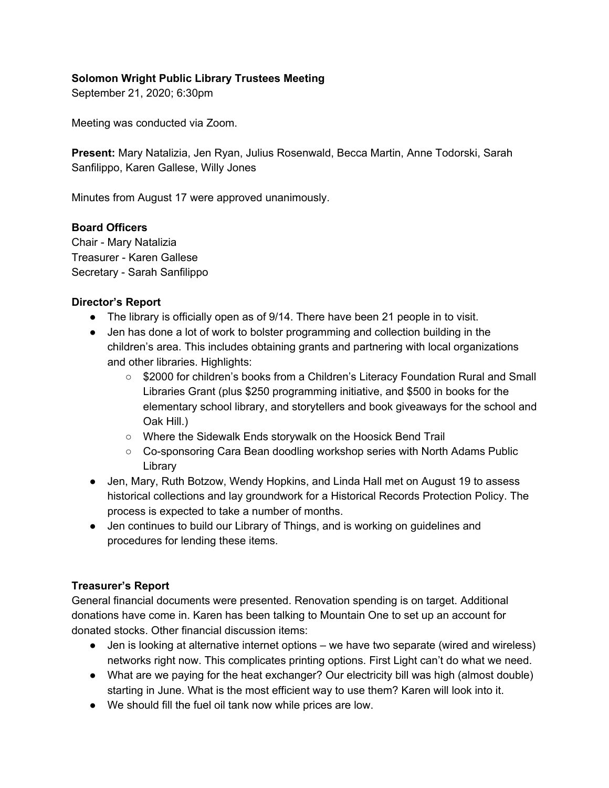## **Solomon Wright Public Library Trustees Meeting**

September 21, 2020; 6:30pm

Meeting was conducted via Zoom.

**Present:** Mary Natalizia, Jen Ryan, Julius Rosenwald, Becca Martin, Anne Todorski, Sarah Sanfilippo, Karen Gallese, Willy Jones

Minutes from August 17 were approved unanimously.

### **Board Officers**

Chair - Mary Natalizia Treasurer - Karen Gallese Secretary - Sarah Sanfilippo

#### **Director's Report**

- The library is officially open as of 9/14. There have been 21 people in to visit.
- Jen has done a lot of work to bolster programming and collection building in the children's area. This includes obtaining grants and partnering with local organizations and other libraries. Highlights:
	- \$2000 for children's books from a Children's Literacy Foundation Rural and Small Libraries Grant (plus \$250 programming initiative, and \$500 in books for the elementary school library, and storytellers and book giveaways for the school and Oak Hill.)
	- Where the Sidewalk Ends storywalk on the Hoosick Bend Trail
	- Co-sponsoring Cara Bean doodling workshop series with North Adams Public Library
- Jen, Mary, Ruth Botzow, Wendy Hopkins, and Linda Hall met on August 19 to assess historical collections and lay groundwork for a Historical Records Protection Policy. The process is expected to take a number of months.
- Jen continues to build our Library of Things, and is working on guidelines and procedures for lending these items.

### **Treasurer's Report**

General financial documents were presented. Renovation spending is on target. Additional donations have come in. Karen has been talking to Mountain One to set up an account for donated stocks. Other financial discussion items:

- Jen is looking at alternative internet options we have two separate (wired and wireless) networks right now. This complicates printing options. First Light can't do what we need.
- What are we paying for the heat exchanger? Our electricity bill was high (almost double) starting in June. What is the most efficient way to use them? Karen will look into it.
- We should fill the fuel oil tank now while prices are low.